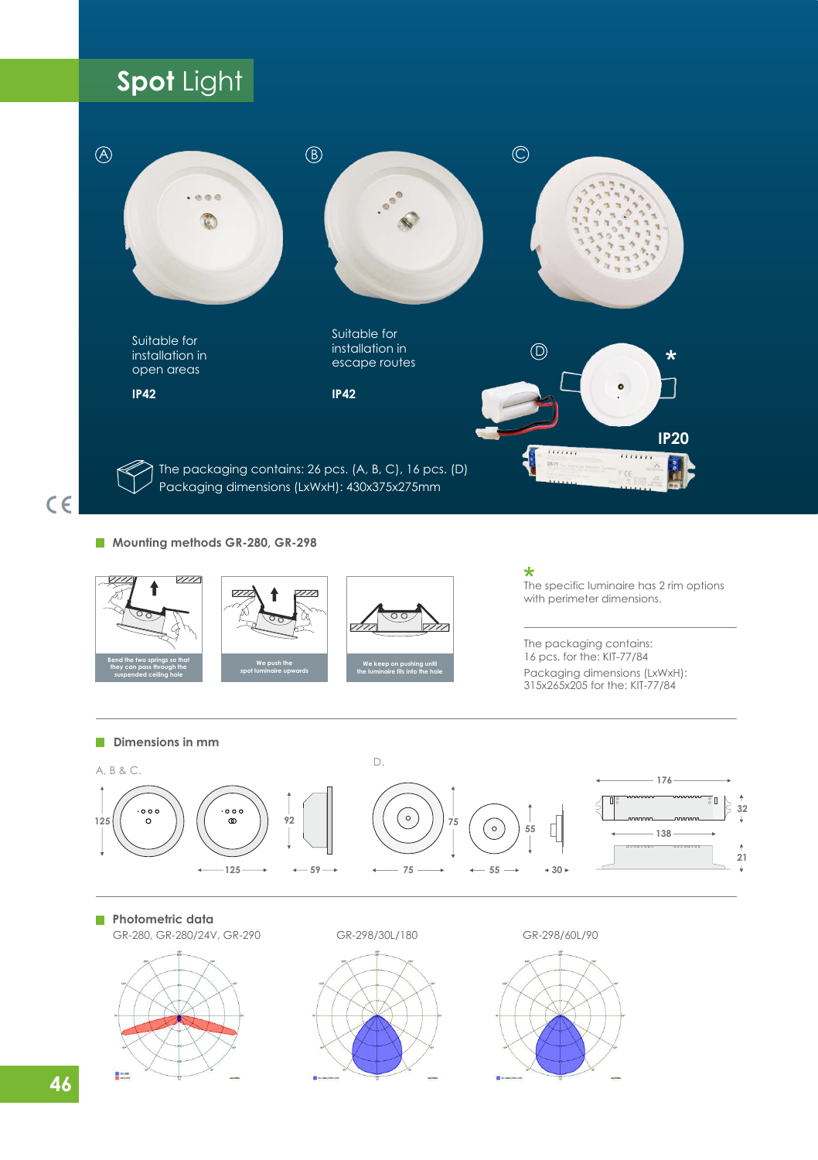# **Spot** Light



**Mounting methods GR-280, GR-298**



 $\star$ The specific luminaire has 2 rim options with perimeter dimensions.

16 pcs. for the: ΚΙΤ-77/84 Packaging dimensions (LxWxH): 315x265x205 for the: ΚΙΤ-77/84 The packaging contains:



**Photometric data** 

GR-280, GR-280/24V, GR-290